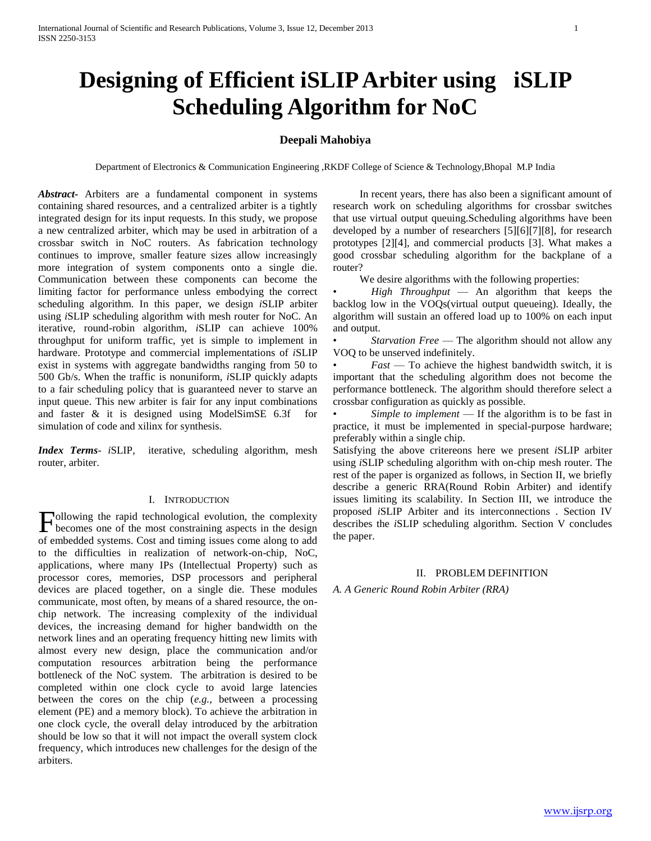# **Designing of Efficient iSLIP Arbiter using iSLIP Scheduling Algorithm for NoC**

# **Deepali Mahobiya**

Department of Electronics & Communication Engineering ,RKDF College of Science & Technology,Bhopal M.P India

*Abstract***-** Arbiters are a fundamental component in systems containing shared resources, and a centralized arbiter is a tightly integrated design for its input requests. In this study, we propose a new centralized arbiter, which may be used in arbitration of a crossbar switch in NoC routers. As fabrication technology continues to improve, smaller feature sizes allow increasingly more integration of system components onto a single die. Communication between these components can become the limiting factor for performance unless embodying the correct scheduling algorithm. In this paper, we design *i*SLIP arbiter using *i*SLIP scheduling algorithm with mesh router for NoC. An iterative, round-robin algorithm, *i*SLIP can achieve 100% throughput for uniform traffic, yet is simple to implement in hardware. Prototype and commercial implementations of *i*SLIP exist in systems with aggregate bandwidths ranging from 50 to 500 Gb/s. When the traffic is nonuniform, *i*SLIP quickly adapts to a fair scheduling policy that is guaranteed never to starve an input queue. This new arbiter is fair for any input combinations and faster & it is designed using ModelSimSE 6.3f for simulation of code and xilinx for synthesis.

*Index Terms*- *i*SLIP, iterative, scheduling algorithm, mesh router, arbiter.

#### I. INTRODUCTION

ollowing the rapid technological evolution, the complexity Following the rapid technological evolution, the complexity becomes one of the most constraining aspects in the design of embedded systems. Cost and timing issues come along to add to the difficulties in realization of network-on-chip, NoC, applications, where many IPs (Intellectual Property) such as processor cores, memories, DSP processors and peripheral devices are placed together, on a single die. These modules communicate, most often, by means of a shared resource, the onchip network. The increasing complexity of the individual devices, the increasing demand for higher bandwidth on the network lines and an operating frequency hitting new limits with almost every new design, place the communication and/or computation resources arbitration being the performance bottleneck of the NoC system. The arbitration is desired to be completed within one clock cycle to avoid large latencies between the cores on the chip (*e.g.,* between a processing element (PE) and a memory block). To achieve the arbitration in one clock cycle, the overall delay introduced by the arbitration should be low so that it will not impact the overall system clock frequency, which introduces new challenges for the design of the arbiters.

 In recent years, there has also been a significant amount of research work on scheduling algorithms for crossbar switches that use virtual output queuing.Scheduling algorithms have been developed by a number of researchers [5][6][7][8], for research prototypes [2][4], and commercial products [3]. What makes a good crossbar scheduling algorithm for the backplane of a router?

We desire algorithms with the following properties:

• *High Throughput* — An algorithm that keeps the backlog low in the VOQs(virtual output queueing). Ideally, the algorithm will sustain an offered load up to 100% on each input and output.

• *Starvation Free* — The algorithm should not allow any VOQ to be unserved indefinitely.

 $Fast$  — To achieve the highest bandwidth switch, it is important that the scheduling algorithm does not become the performance bottleneck. The algorithm should therefore select a crossbar configuration as quickly as possible.

• *Simple to implement* — If the algorithm is to be fast in practice, it must be implemented in special-purpose hardware; preferably within a single chip.

Satisfying the above critereons here we present *i*SLIP arbiter using *i*SLIP scheduling algorithm with on-chip mesh router. The rest of the paper is organized as follows, in Section II, we briefly describe a generic RRA(Round Robin Arbiter) and identify issues limiting its scalability. In Section III, we introduce the proposed *i*SLIP Arbiter and its interconnections . Section IV describes the *i*SLIP scheduling algorithm. Section V concludes the paper.

# II. PROBLEM DEFINITION

*A. A Generic Round Robin Arbiter (RRA)*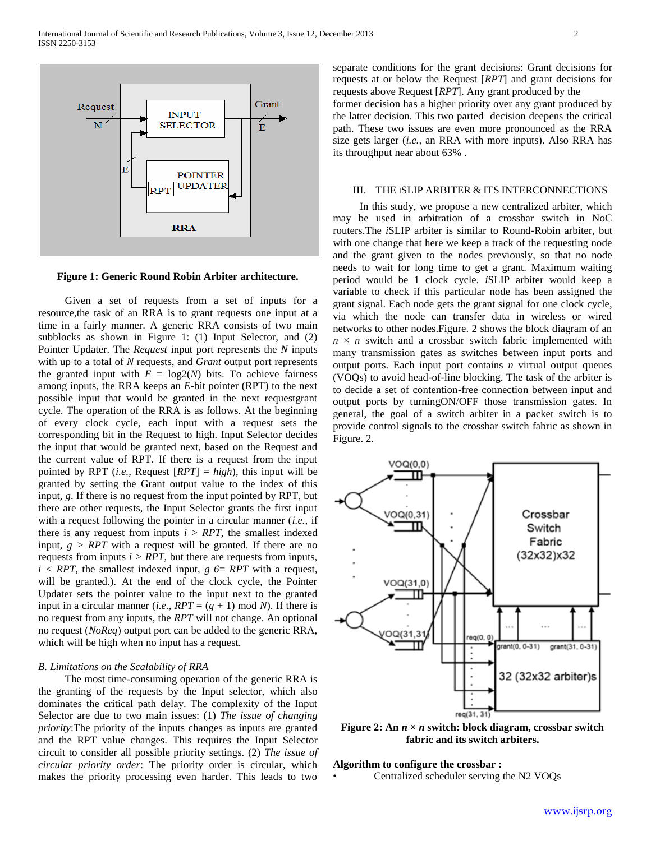

**Figure 1: Generic Round Robin Arbiter architecture.**

 Given a set of requests from a set of inputs for a resource,the task of an RRA is to grant requests one input at a time in a fairly manner. A generic RRA consists of two main subblocks as shown in Figure 1: (1) Input Selector, and (2) Pointer Updater. The *Request* input port represents the *N* inputs with up to a total of *N* requests, and *Grant* output port represents the granted input with  $E = \log(2(N))$  bits. To achieve fairness among inputs, the RRA keeps an *E*-bit pointer (RPT) to the next possible input that would be granted in the next requestgrant cycle. The operation of the RRA is as follows. At the beginning of every clock cycle, each input with a request sets the corresponding bit in the Request to high. Input Selector decides the input that would be granted next, based on the Request and the current value of RPT. If there is a request from the input pointed by RPT (*i.e.,* Request [*RPT*] = *high*), this input will be granted by setting the Grant output value to the index of this input, *g*. If there is no request from the input pointed by RPT, but there are other requests, the Input Selector grants the first input with a request following the pointer in a circular manner (*i.e.,* if there is any request from inputs  $i > RPT$ , the smallest indexed input,  $g > RPT$  with a request will be granted. If there are no requests from inputs  $i > RPT$ , but there are requests from inputs,  $i < RPT$ , the smallest indexed input,  $g \not\equiv RPT$  with a request, will be granted.). At the end of the clock cycle, the Pointer Updater sets the pointer value to the input next to the granted input in a circular manner (*i.e.*,  $RPT = (g + 1) \text{ mod } N$ ). If there is no request from any inputs, the *RPT* will not change. An optional no request (*NoReq*) output port can be added to the generic RRA, which will be high when no input has a request.

## *B. Limitations on the Scalability of RRA*

 The most time-consuming operation of the generic RRA is the granting of the requests by the Input selector, which also dominates the critical path delay. The complexity of the Input Selector are due to two main issues: (1) *The issue of changing priority*:The priority of the inputs changes as inputs are granted and the RPT value changes. This requires the Input Selector circuit to consider all possible priority settings. (2) *The issue of circular priority order*: The priority order is circular, which makes the priority processing even harder. This leads to two

separate conditions for the grant decisions: Grant decisions for requests at or below the Request [*RPT*] and grant decisions for requests above Request [*RPT*]. Any grant produced by the former decision has a higher priority over any grant produced by the latter decision. This two parted decision deepens the critical path. These two issues are even more pronounced as the RRA size gets larger (*i.e.,* an RRA with more inputs). Also RRA has its throughput near about 63% .

#### III. THE ISLIP ARBITER & ITS INTERCONNECTIONS

 In this study, we propose a new centralized arbiter, which may be used in arbitration of a crossbar switch in NoC routers.The *i*SLIP arbiter is similar to Round-Robin arbiter, but with one change that here we keep a track of the requesting node and the grant given to the nodes previously, so that no node needs to wait for long time to get a grant. Maximum waiting period would be 1 clock cycle. *i*SLIP arbiter would keep a variable to check if this particular node has been assigned the grant signal. Each node gets the grant signal for one clock cycle, via which the node can transfer data in wireless or wired networks to other nodes.Figure. 2 shows the block diagram of an  $n \times n$  switch and a crossbar switch fabric implemented with many transmission gates as switches between input ports and output ports. Each input port contains *n* virtual output queues (VOQs) to avoid head-of-line blocking. The task of the arbiter is to decide a set of contention-free connection between input and output ports by turningON/OFF those transmission gates. In general, the goal of a switch arbiter in a packet switch is to provide control signals to the crossbar switch fabric as shown in Figure. 2.



**Figure 2:** An  $n \times n$  switch: block diagram, crossbar switch **fabric and its switch arbiters.**

## **Algorithm to configure the crossbar :**

• Centralized scheduler serving the N2 VOQs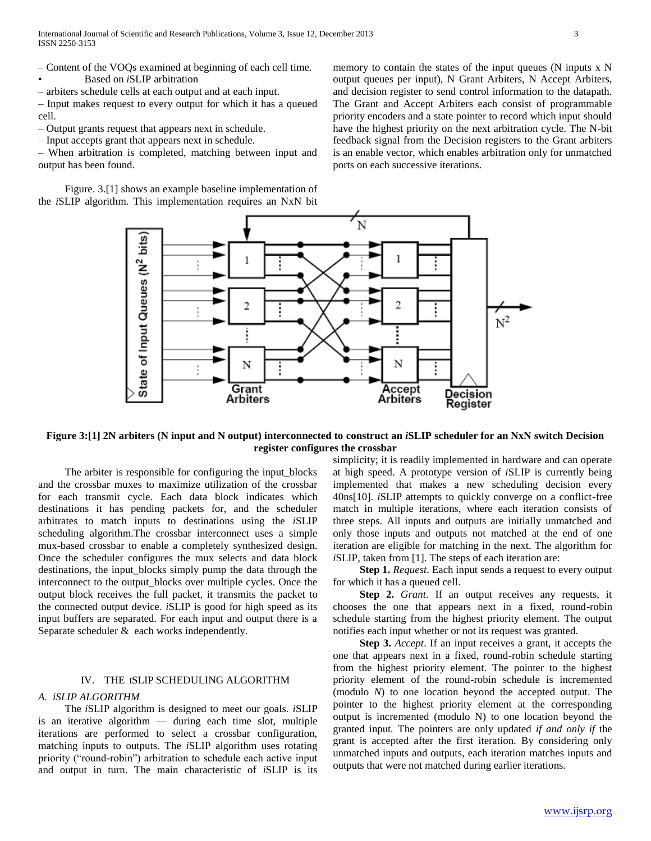- Content of the VOQs examined at beginning of each cell time. • Based on *i*SLIP arbitration
- arbiters schedule cells at each output and at each input.

– Input makes request to every output for which it has a queued cell.

- Output grants request that appears next in schedule.
- Input accepts grant that appears next in schedule.

– When arbitration is completed, matching between input and output has been found.

 Figure. 3.[1] shows an example baseline implementation of the *i*SLIP algorithm. This implementation requires an NxN bit memory to contain the states of the input queues (N inputs x N output queues per input), N Grant Arbiters, N Accept Arbiters, and decision register to send control information to the datapath. The Grant and Accept Arbiters each consist of programmable priority encoders and a state pointer to record which input should have the highest priority on the next arbitration cycle. The N-bit feedback signal from the Decision registers to the Grant arbiters is an enable vector, which enables arbitration only for unmatched ports on each successive iterations.



# **Figure 3:[1] 2N arbiters (N input and N output) interconnected to construct an** *i***SLIP scheduler for an NxN switch Decision register configures the crossbar**

 The arbiter is responsible for configuring the input\_blocks and the crossbar muxes to maximize utilization of the crossbar for each transmit cycle. Each data block indicates which destinations it has pending packets for, and the scheduler arbitrates to match inputs to destinations using the *i*SLIP scheduling algorithm.The crossbar interconnect uses a simple mux-based crossbar to enable a completely synthesized design. Once the scheduler configures the mux selects and data block destinations, the input\_blocks simply pump the data through the interconnect to the output\_blocks over multiple cycles. Once the output block receives the full packet, it transmits the packet to the connected output device. *i*SLIP is good for high speed as its input buffers are separated. For each input and output there is a Separate scheduler & each works independently.

# IV. THE ISLIP SCHEDULING ALGORITHM

# *A. iSLIP ALGORITHM*

 The *i*SLIP algorithm is designed to meet our goals. *i*SLIP is an iterative algorithm — during each time slot, multiple iterations are performed to select a crossbar configuration, matching inputs to outputs. The *i*SLIP algorithm uses rotating priority ("round-robin") arbitration to schedule each active input and output in turn. The main characteristic of *i*SLIP is its simplicity; it is readily implemented in hardware and can operate at high speed. A prototype version of *i*SLIP is currently being implemented that makes a new scheduling decision every 40ns[10]. *i*SLIP attempts to quickly converge on a conflict-free match in multiple iterations, where each iteration consists of three steps. All inputs and outputs are initially unmatched and only those inputs and outputs not matched at the end of one iteration are eligible for matching in the next. The algorithm for *i*SLIP, taken from [1]. The steps of each iteration are:

 **Step 1.** *Request*. Each input sends a request to every output for which it has a queued cell.

 **Step 2.** *Grant*. If an output receives any requests, it chooses the one that appears next in a fixed, round-robin schedule starting from the highest priority element. The output notifies each input whether or not its request was granted.

 **Step 3.** *Accept*. If an input receives a grant, it accepts the one that appears next in a fixed, round-robin schedule starting from the highest priority element. The pointer to the highest priority element of the round-robin schedule is incremented (modulo *N*) to one location beyond the accepted output. The pointer to the highest priority element at the corresponding output is incremented (modulo N) to one location beyond the granted input*.* The pointers are only updated *if and only if* the grant is accepted after the first iteration. By considering only unmatched inputs and outputs, each iteration matches inputs and outputs that were not matched during earlier iterations.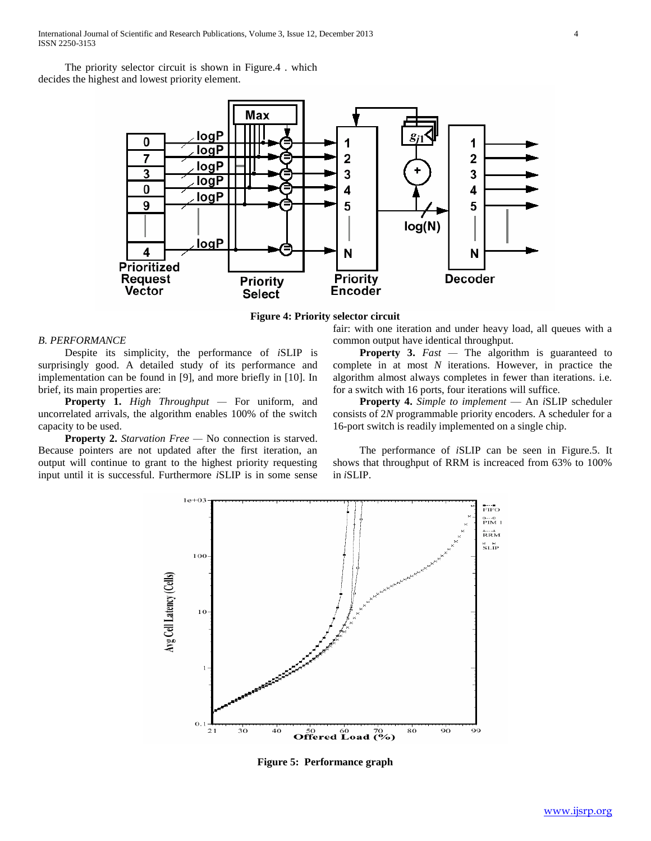The priority selector circuit is shown in Figure.4 . which decides the highest and lowest priority element.



**Figure 4: Priority selector circuit**

## *B. PERFORMANCE*

 Despite its simplicity, the performance of *i*SLIP is surprisingly good. A detailed study of its performance and implementation can be found in [9], and more briefly in [10]. In brief, its main properties are:

 **Property 1.** *High Throughput —* For uniform, and uncorrelated arrivals, the algorithm enables 100% of the switch capacity to be used.

 **Property 2.** *Starvation Free —* No connection is starved. Because pointers are not updated after the first iteration, an output will continue to grant to the highest priority requesting input until it is successful. Furthermore *i*SLIP is in some sense fair: with one iteration and under heavy load, all queues with a common output have identical throughput.

**Property 3.** Fast — The algorithm is guaranteed to complete in at most *N* iterations. However, in practice the algorithm almost always completes in fewer than iterations. i.e. for a switch with 16 ports, four iterations will suffice.

 **Property 4.** *Simple to implement* — An *i*SLIP scheduler consists of 2*N* programmable priority encoders. A scheduler for a 16-port switch is readily implemented on a single chip.

 The performance of *i*SLIP can be seen in Figure.5. It shows that throughput of RRM is increaced from 63% to 100% in *i*SLIP.



**Figure 5: Performance graph**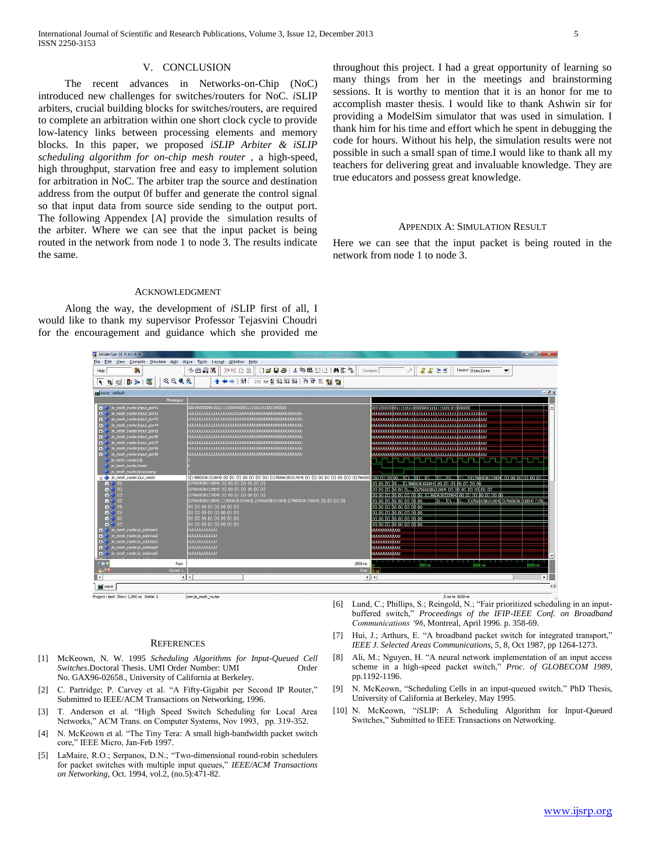#### V. CONCLUSION

 The recent advances in Networks-on-Chip (NoC) introduced new challenges for switches/routers for NoC. *i*SLIP arbiters, crucial building blocks for switches/routers, are required to complete an arbitration within one short clock cycle to provide low-latency links between processing elements and memory blocks. In this paper, we proposed *iSLIP Arbiter & iSLIP scheduling algorithm for on-chip mesh router ,* a high-speed, high throughput, starvation free and easy to implement solution for arbitration in NoC. The arbiter trap the source and destination address from the output 0f buffer and generate the control signal so that input data from source side sending to the output port. The following Appendex [A] provide the simulation results of the arbiter. Where we can see that the input packet is being routed in the network from node 1 to node 3. The results indicate the same.

# throughout this project. I had a great opportunity of learning so many things from her in the meetings and brainstorming sessions. It is worthy to mention that it is an honor for me to accomplish master thesis. I would like to thank Ashwin sir for providing a ModelSim simulator that was used in simulation. I thank him for his time and effort which he spent in debugging the code for hours. Without his help, the simulation results were not possible in such a small span of time.I would like to thank all my teachers for delivering great and invaluable knowledge. They are true educators and possess great knowledge.

# APPENDIX A: SIMULATION RESULT

Here we can see that the input packet is being routed in the network from node 1 to node 3.

## ACKNOWLEDGMENT

 Along the way, the development of *i*SLIP first of all, I would like to thank my supervisor Professor Tejasvini Choudri for the encouragement and guidance which she provided me



#### **REFERENCES**

- [1] McKeown, N. W. 1995 *Scheduling Algorithms for Input-Queued Cell Switches*.Doctoral Thesis. UMI Order Number: UMI Order No. GAX96-02658., University of California at Berkeley.
- [2] C. Partridge; P. Carvey et al. "A Fifty-Gigabit per Second IP Router," Submitted to IEEE/ACM Transactions on Networking, 1996.
- [3] T. Anderson et al. "High Speed Switch Scheduling for Local Area Networks," ACM Trans. on Computer Systems, Nov 1993, pp. 319-352.
- [4] N. McKeown et al. "The Tiny Tera: A small high-bandwidth packet switch core," IEEE Micro, Jan-Feb 1997.
- [5] LaMaire, R.O.; Serpanos, D.N.; "Two-dimensional round-robin schedulers for packet switches with multiple input queues," *IEEE/ACM Transactions on Networking*, Oct. 1994, vol.2, (no.5):471-82.
- [6] Lund, C.; Phillips, S.; Reingold, N.; "Fair prioritized scheduling in an inputbuffered switch," *Proceedings of the IFIP-IEEE Conf. on Broadband Communications '96*, Montreal, April 1996. p. 358-69.
- [7] Hui, J.; Arthurs, E. "A broadband packet switch for integrated transport," *IEEE J. Selected Areas Communications, 5*, 8, Oct 1987, pp 1264-1273.
- [8] Ali, M.; Nguyen, H. "A neural network implementation of an input access scheme in a high-speed packet switch," *Proc. of GLOBECOM 1989*, pp.1192-1196.
- [9] N. McKeown, "Scheduling Cells in an input-queued switch," PhD Thesis, University of California at Berkeley, May 1995.
- [10] N. McKeown, "*i*SLIP: A Scheduling Algorithm for Input-Queued Switches," Submitted to IEEE Transactions on Networking.